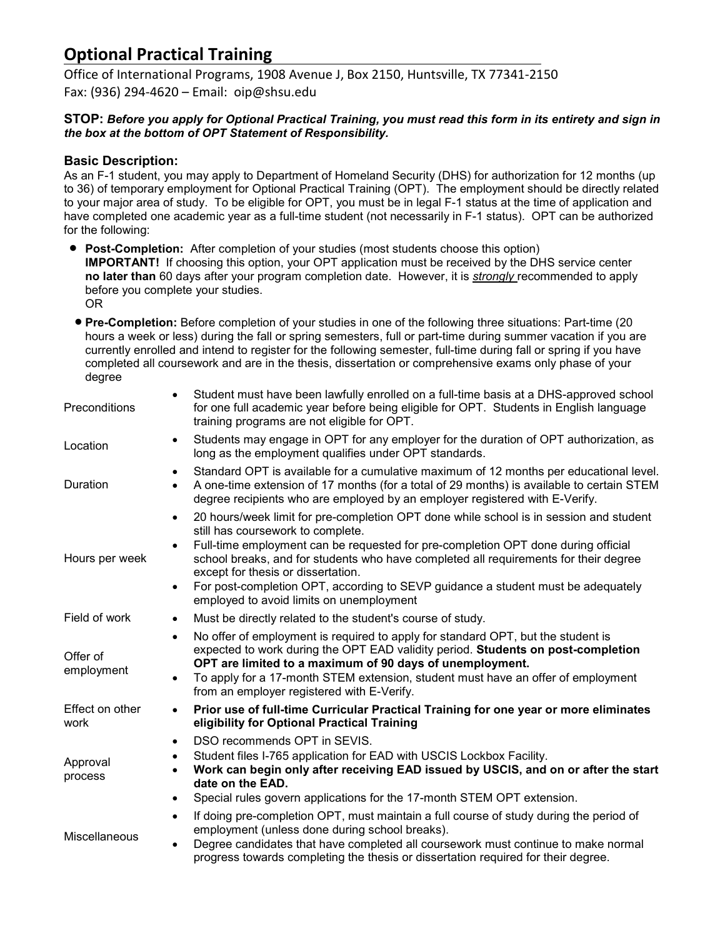Office of International Programs, 1908 Avenue J, Box 2150, Huntsville, TX 77341-2150 Fax: (936) 294-4620 – Email: oip@shsu.edu

#### **STOP:** *Before you apply for Optional Practical Training, you must read this form in its entirety and sign in the box at the bottom of OPT Statement of Responsibility.*

#### **Basic Description:**

As an F-1 student, you may apply to Department of Homeland Security (DHS) for authorization for 12 months (up to 36) of temporary employment for Optional Practical Training (OPT). The employment should be directly related to your major area of study. To be eligible for OPT, you must be in legal F-1 status at the time of application and have completed one academic year as a full-time student (not necessarily in F-1 status). OPT can be authorized for the following:

- **Post-Completion:** After completion of your studies (most students choose this option) **IMPORTANT!** If choosing this option, your OPT application must be received by the DHS service center **no later than** 60 days after your program completion date. However, it is *strongly* recommended to apply before you complete your studies. OR
- **Pre-Completion:** Before completion of your studies in one of the following three situations: Part-time (20 hours a week or less) during the fall or spring semesters, full or part-time during summer vacation if you are currently enrolled and intend to register for the following semester, full-time during fall or spring if you have completed all coursework and are in the thesis, dissertation or comprehensive exams only phase of your degree

| Preconditions           | Student must have been lawfully enrolled on a full-time basis at a DHS-approved school<br>for one full academic year before being eligible for OPT. Students in English language<br>training programs are not eligible for OPT.                                                                                                                                                                                                                                                                                       |
|-------------------------|-----------------------------------------------------------------------------------------------------------------------------------------------------------------------------------------------------------------------------------------------------------------------------------------------------------------------------------------------------------------------------------------------------------------------------------------------------------------------------------------------------------------------|
| Location                | Students may engage in OPT for any employer for the duration of OPT authorization, as<br>long as the employment qualifies under OPT standards.                                                                                                                                                                                                                                                                                                                                                                        |
| Duration                | Standard OPT is available for a cumulative maximum of 12 months per educational level.<br>$\bullet$<br>A one-time extension of 17 months (for a total of 29 months) is available to certain STEM<br>$\bullet$<br>degree recipients who are employed by an employer registered with E-Verify.                                                                                                                                                                                                                          |
| Hours per week          | 20 hours/week limit for pre-completion OPT done while school is in session and student<br>$\bullet$<br>still has coursework to complete.<br>Full-time employment can be requested for pre-completion OPT done during official<br>$\bullet$<br>school breaks, and for students who have completed all requirements for their degree<br>except for thesis or dissertation.<br>For post-completion OPT, according to SEVP guidance a student must be adequately<br>$\bullet$<br>employed to avoid limits on unemployment |
| Field of work           | Must be directly related to the student's course of study.<br>$\bullet$                                                                                                                                                                                                                                                                                                                                                                                                                                               |
| Offer of<br>employment  | No offer of employment is required to apply for standard OPT, but the student is<br>$\bullet$<br>expected to work during the OPT EAD validity period. Students on post-completion<br>OPT are limited to a maximum of 90 days of unemployment.<br>To apply for a 17-month STEM extension, student must have an offer of employment<br>from an employer registered with E-Verify.                                                                                                                                       |
| Effect on other<br>work | Prior use of full-time Curricular Practical Training for one year or more eliminates<br>$\bullet$<br>eligibility for Optional Practical Training                                                                                                                                                                                                                                                                                                                                                                      |
| Approval<br>process     | DSO recommends OPT in SEVIS.<br>$\bullet$<br>Student files I-765 application for EAD with USCIS Lockbox Facility.<br>٠<br>Work can begin only after receiving EAD issued by USCIS, and on or after the start<br>date on the EAD.<br>Special rules govern applications for the 17-month STEM OPT extension.<br>$\bullet$                                                                                                                                                                                               |
| Miscellaneous           | If doing pre-completion OPT, must maintain a full course of study during the period of<br>$\bullet$<br>employment (unless done during school breaks).<br>Degree candidates that have completed all coursework must continue to make normal<br>progress towards completing the thesis or dissertation required for their degree.                                                                                                                                                                                       |
|                         |                                                                                                                                                                                                                                                                                                                                                                                                                                                                                                                       |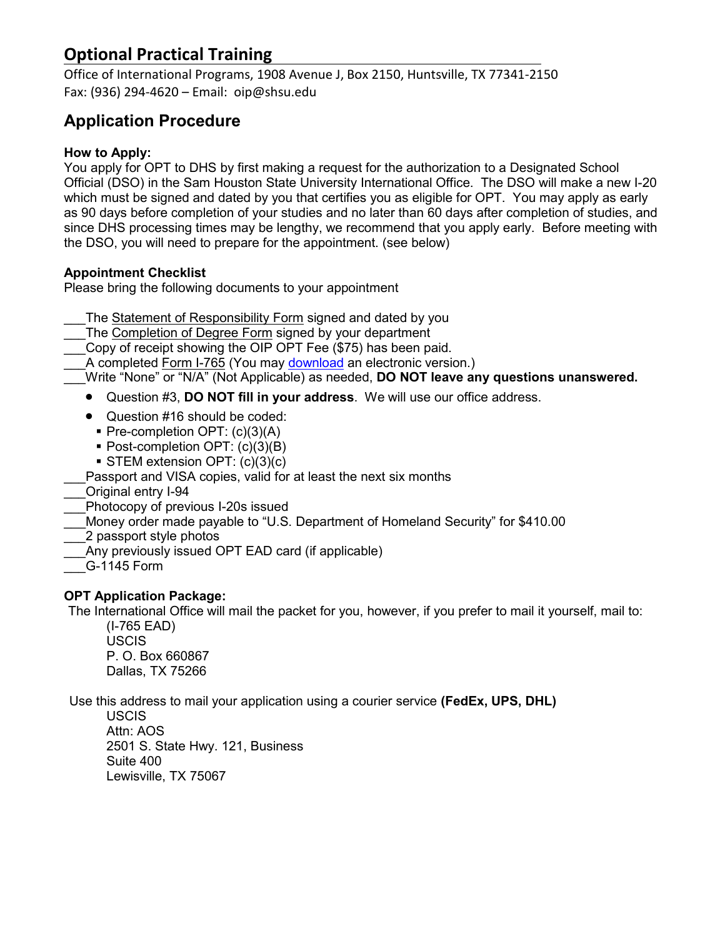Office of International Programs, 1908 Avenue J, Box 2150, Huntsville, TX 77341-2150 Fax: (936) 294-4620 – Email: oip@shsu.edu

### **Application Procedure**

### **How to Apply:**

You apply for OPT to DHS by first making a request for the authorization to a Designated School Official (DSO) in the Sam Houston State University International Office. The DSO will make a new I-20 which must be signed and dated by you that certifies you as eligible for OPT. You may apply as early as 90 days before completion of your studies and no later than 60 days after completion of studies, and since DHS processing times may be lengthy, we recommend that you apply early. Before meeting with the DSO, you will need to prepare for the appointment. (see below)

#### **Appointment Checklist**

Please bring the following documents to your appointment

The Statement of Responsibility Form signed and dated by you

- The Completion of Degree Form signed by your department
- Copy of receipt showing the OIP OPT Fee (\$75) has been paid.
- A completed Form I-765 (You may [download](http://www.uscis.gov/portal/site/uscis/menuitem.5af9bb95919f35e66f614176543f6d1a/?vgnextoid=73ddd59cb7a5d010VgnVCM10000048f3d6a1RCRD&vgnextchannel=db029c7755cb9010VgnVCM10000045f3d6a1RCRD) an electronic version.)

\_\_\_Write "None" or "N/A" (Not Applicable) as needed, **DO NOT leave any questions unanswered.**

- Question #3, **DO NOT fill in your address**. We will use our office address.
- Question #16 should be coded:
	- Pre-completion OPT: (c)(3)(A)
	- Post-completion OPT: (c)(3)(B)
	- STEM extension OPT: (c)(3)(c)
- Passport and VISA copies, valid for at least the next six months
- \_\_\_Original entry I-94
- \_\_\_Photocopy of previous I-20s issued
- Money order made payable to "U.S. Department of Homeland Security" for \$410.00
- \_\_\_2 passport style photos
- Any previously issued OPT EAD card (if applicable)
- \_\_\_G-1145 Form

### **OPT Application Package:**

The International Office will mail the packet for you, however, if you prefer to mail it yourself, mail to:

(I-765 EAD) USCIS P. O. Box 660867 Dallas, TX 75266

Use this address to mail your application using a courier service **(FedEx, UPS, DHL)** 

**USCIS** Attn: AOS 2501 S. State Hwy. 121, Business Suite 400 Lewisville, TX 75067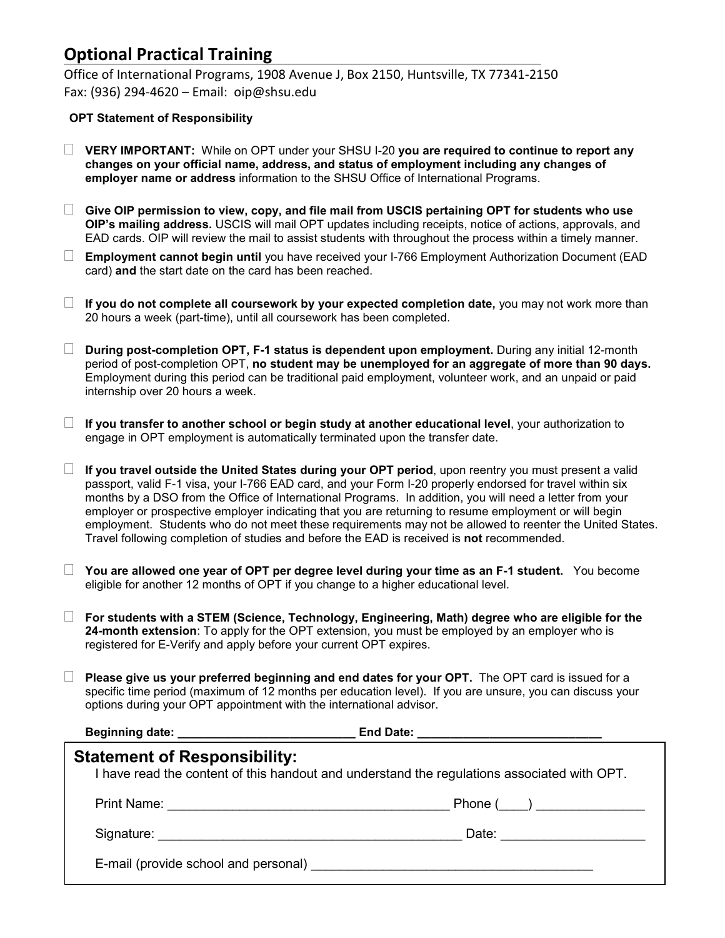Office of International Programs, 1908 Avenue J, Box 2150, Huntsville, TX 77341-2150 Fax: (936) 294-4620 – Email: oip@shsu.edu

**OPT Statement of Responsibility**

- **VERY IMPORTANT:** While on OPT under your SHSU I-20 **you are required to continue to report any changes on your official name, address, and status of employment including any changes of employer name or address** information to the SHSU Office of International Programs.
- **Give OIP permission to view, copy, and file mail from USCIS pertaining OPT for students who use OIP's mailing address.** USCIS will mail OPT updates including receipts, notice of actions, approvals, and EAD cards. OIP will review the mail to assist students with throughout the process within a timely manner.
- **Employment cannot begin until** you have received your I-766 Employment Authorization Document (EAD card) **and** the start date on the card has been reached.

 **If you do not complete all coursework by your expected completion date,** you may not work more than 20 hours a week (part-time), until all coursework has been completed.

- **During post-completion OPT, F-1 status is dependent upon employment.** During any initial 12-month period of post-completion OPT, **no student may be unemployed for an aggregate of more than 90 days.** Employment during this period can be traditional paid employment, volunteer work, and an unpaid or paid internship over 20 hours a week.
- **If you transfer to another school or begin study at another educational level**, your authorization to engage in OPT employment is automatically terminated upon the transfer date.
- **If you travel outside the United States during your OPT period**, upon reentry you must present a valid passport, valid F-1 visa, your I-766 EAD card, and your Form I-20 properly endorsed for travel within six months by a DSO from the Office of International Programs. In addition, you will need a letter from your employer or prospective employer indicating that you are returning to resume employment or will begin employment. Students who do not meet these requirements may not be allowed to reenter the United States. Travel following completion of studies and before the EAD is received is **not** recommended.
- **You are allowed one year of OPT per degree level during your time as an F-1 student.** You become eligible for another 12 months of OPT if you change to a higher educational level.
- **For students with a STEM (Science, Technology, Engineering, Math) degree who are eligible for the 24-month extension**: To apply for the OPT extension, you must be employed by an employer who is registered for E-Verify and apply before your current OPT expires.
- **Please give us your preferred beginning and end dates for your OPT.** The OPT card is issued for a specific time period (maximum of 12 months per education level). If you are unsure, you can discuss your options during your OPT appointment with the international advisor.

|                                     | End Date: ________________________________                                                                                                                                                                                    |
|-------------------------------------|-------------------------------------------------------------------------------------------------------------------------------------------------------------------------------------------------------------------------------|
| <b>Statement of Responsibility:</b> | I have read the content of this handout and understand the regulations associated with OPT.                                                                                                                                   |
|                                     | Print Name: <u>_______________________________</u><br>Phone ( )                                                                                                                                                               |
|                                     | Signature: <u>_________________________________</u><br>Date: ______________                                                                                                                                                   |
|                                     | E-mail (provide school and personal) example and the state of the state of the state of the state of the state of the state of the state of the state of the state of the state of the state of the state of the state of the |